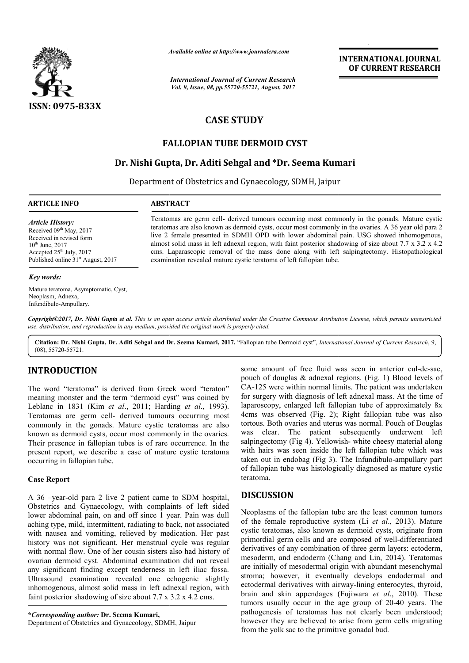

*Available online at http://www.journal http://www.journalcra.com*

*International Journal of Current Research Vol. 9, Issue, 08, pp.55720-55721, August, 2017*

# **INTERNATIONAL JOURNAL OF CURRENT RESEARCH**

# **CASE STUDY**

# **FALLOPIAN TUBE DERMOID CYST**

# **Dr. Nishi Gupta Gupta, Dr. Aditi Sehgal and \*Dr. Seema Kumari**

Department of Obstetrics and Gynaecology, SDMH, Jaipur Department

## **ARTICLE INFO ABSTRACT**

*Article History:* Received 09<sup>th</sup> May, 2017 Received in revised form  $10^{th}$  June,  $2017$ Accepted  $25<sup>th</sup>$  July, 2017 Published online 31<sup>st</sup> August, 2017

### *Key words:*

Mature teratoma, Asymptomatic, Cyst, Neoplasm, Adnexa, Infundibulo-Ampullary.

Teratomas are germ cell- derived tumours occurring most commonly in the gonads. Mature cystic teratomas are also known as dermoid cysts, occur most commonly in the ovaries. A 36 year old para 2 live 2 female presented in SDMH OPD with lower abdominal pain. USG showed inhomogenous, almost solid mass in left adnexal region, with faint posterior shadowing of size about 7.7 x 3.2 x 4.2 cms. Laparascopic removal of the mass done along with left salpingtectomy. Histopathological examination revealed mature cystic teratoma of left fallopian tube. Teratomas are germ cell- derived tumours occurring most commonly in the gonads. Mature cystic teratomas are also known as dermoid cysts, occur most commonly in the ovaries. A 36 year old para 2 live 2 female presented in S

*Copyright©2017, Dr. Nishi Gupta et al. This is an open access article distributed under the Creative Commons Att Attribution License, which ribution permits unrestricted use, distribution, and reproduction in any medium, provided the original work is properly cited.*

Citation: Dr. Nishi Gupta, Dr. Aditi Sehgal and Dr. Seema Kumari, 2017. "Fallopian tube Dermoid cyst", *International Journal of Current Research*, 9, (08), 55720-55721.

# **INTRODUCTION**

The word "teratoma" is derived from Greek word "teraton" meaning monster and the term "dermoid cyst" was coined by Leblanc in 1831 (Kim *et al*., 2011; Harding *et al*., 1993). Teratomas are germ cell- derived tumours occurring most commonly in the gonads. Mature cystic teratomas are also known as dermoid cysts, occur most commonly in the ovaries. Their presence in fallopian tubes is of rare occurrence. In the present report, we describe a case of mature cystic teratoma occurring in fallopian tube.

## **Case Report**

A 36 –year-old para 2 live 2 patient came to SDM hospital, Obstetrics and Gynaecology, with complaints of left sided lower abdominal pain, on and off since 1 year. Pain was dull aching type, mild, intermittent, radiating to back, not associated with nausea and vomiting, relieved by medication. Her past history was not significant. Her menstrual cycle was regular with normal flow. One of her cousin sisters also had history of ovarian dermoid cyst. Abdominal examination did not reveal any significant finding except tenderness in left iliac fossa. Ultrasound examination revealed one echogenic inhomogenous, almost solid mass in left adnexal region, with faint posterior shadowing of size about 7.7 x 3.2 x 4.2 cms. rt, we describe a case of mature cystic teratoma<br>fallopian tube.<br>t<br>old para 2 live 2 patient came to SDM hospital,<br>nd Gynaecology, with complaints of left sided<br>ininal pain, on and off since 1 year. Pain was dull<br>mild, int

**\****Corresponding author:* **Dr. Seema Kumari,** Department of Obstetrics and Gynaecology, SDMH, Jaipur

**TION**<br>
some amount of free fluid was seen in anterior cult<br>
pouch of douglas & adnexal regions. (Fig. 1) Blood 1<br>
ratation<sup>21</sup> cas coinced by for surgery with almons and the film term "dermoid cyst" was coinced by for su pouch of douglas  $\&$  adnexal regions. (Fig. 1) Blood levels of CA-125 were within normal limits. The patient was undertaken for surgery with diagnosis of left adnexal mass. At the time of CA-125 were within normal limits. The patient was undertaken<br>for surgery with diagnosis of left adnexal mass. At the time of<br>laparoscopy, enlarged left fallopian tube of approximately 8x 4cms was observed (Fig. 2); Right fallopian tube was also tortous. Both ovaries and uterus was normal. Pouch of Douglas was clear. The patient subsequently underwent left salpingectomy (Fig 4). Yellowish-white cheesy material along with hairs was seen inside the left fallopian tube which was with hairs was seen inside the left fallopian tube which was taken out in endobag (Fig 3). The Infundibulo-ampullary part of fallopian tube was histologically diagnosed as mature cystic teratoma. of fallopian tube was histologically diagnosed as mature cystic<br>teratoma.<br>**DISCUSSION**<br>Neoplasms of the fallopian tube are the least common tumors some amount of free fluid was seen in anterior cul-de-sac, was inductional and uterus was normal. Pouch of Douglas<br>
patient subsequently underwent left<br>
Pellowish-white cheesy material along

## **DISCUSSION**

of the female reproductive system (Li *et al*., 2013). Mature cystic teratomas, also known as dermoid cysts, originate from cystic teratomas, also known as dermoid cysts, originate from<br>primordial germ cells and are composed of well-differentiated derivatives of any combination of three germ layers: ectoderm, derivatives of any combination of three germ layers: ectoderm, mesoderm, and endoderm (Chang and Lin, 2014). Teratomas are initially of mesodermal origin with abundant mesenchymal stroma; however, it eventually develops endodermal and ectodermal derivatives with airway-lining enterocytes, thyroid, brain and skin appendages ( (Fujiwara *et al*., 2010). These tumors usually occur in the age group of 20-40 years. The pathogenesis of teratomas has not clearly been understood; pathogenesis of teratomas has not clearly been understood;<br>however they are believed to arise from germ cells migrating from the yolk sac to the primitive gonadal bud. of mesodermal origin with abundant mesenchymal<br>wever, it eventually develops endodermal and<br>derivatives with airway-lining enterocytes, thyroid, **INTERNATIONAL JOURNAL**<br> **OF CURRENT RESEARCH**<br> **OF CURRENT RESEARCH**<br> **OF CURRENT RESEARCH**<br> **IH, Jaipur**<br> **IMMO** the ovaries. A 36 year old para a<br>
advoiming join. USO showed monomoly in the coration shadowing of size a